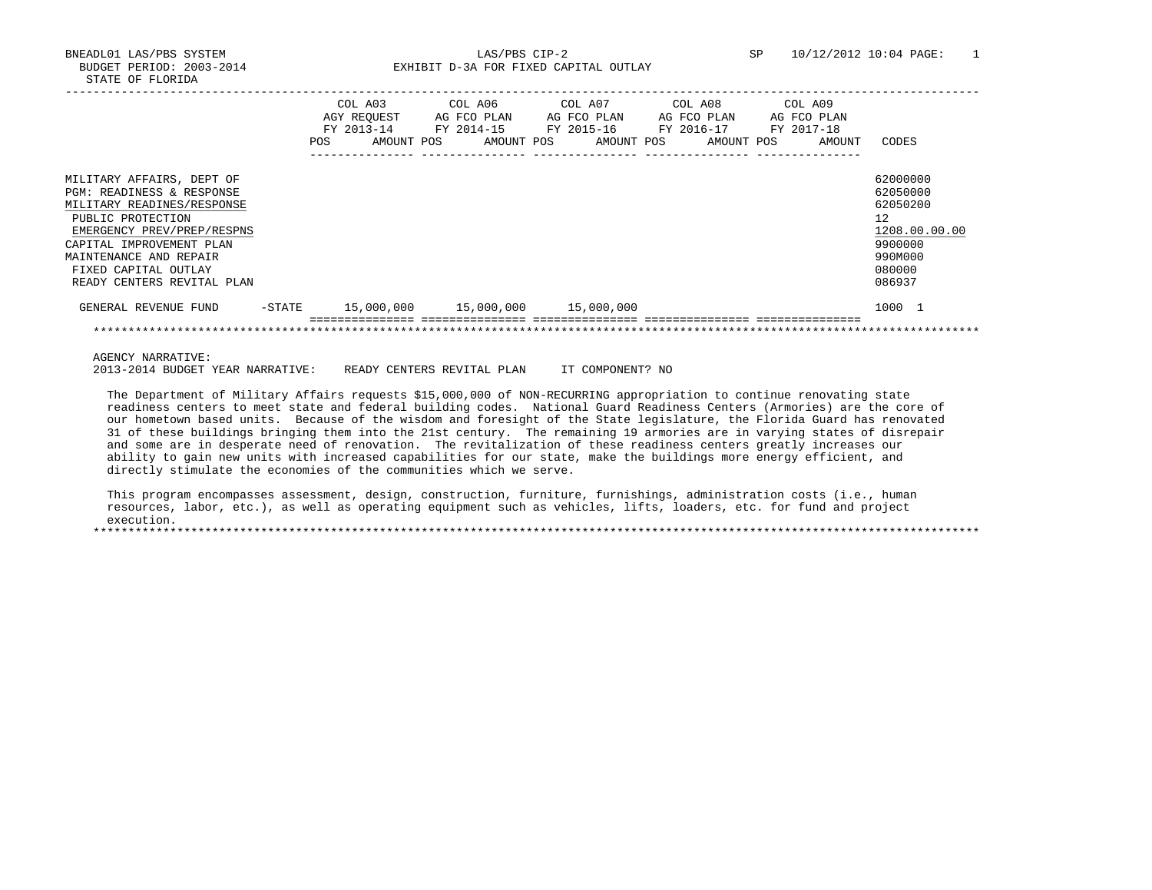BNEADL01 LAS/PBS SYSTEM LAS/PBS CIP-2 SP 10/12/2012 10:04 PAGE: 1 BUDGET PERIOD: 2003-2014 **EXHIBIT D-3A FOR FIXED CAPITAL OUTLAY** 

|                                                                                                                                                                                                                                                     | <b>POS</b> | COL A03<br>AGY REOUEST<br>FY 2013-14<br>AMOUNT POS | COL A06<br>AG FCO PLAN<br>FY 2014-15<br>AMOUNT POS | COL A07<br>AG FCO PLAN<br>FY 2015-16<br>AMOUNT POS | COL A08<br>AG FCO PLAN<br>FY 2016-17<br>AMOUNT POS | COL A09<br>AG FCO PLAN<br>FY 2017-18<br>AMOUNT | CODES                                                                                             |
|-----------------------------------------------------------------------------------------------------------------------------------------------------------------------------------------------------------------------------------------------------|------------|----------------------------------------------------|----------------------------------------------------|----------------------------------------------------|----------------------------------------------------|------------------------------------------------|---------------------------------------------------------------------------------------------------|
| MILITARY AFFAIRS, DEPT OF<br>PGM: READINESS & RESPONSE<br>MILITARY READINES/RESPONSE<br>PUBLIC PROTECTION<br>EMERGENCY PREV/PREP/RESPNS<br>CAPITAL IMPROVEMENT PLAN<br>MAINTENANCE AND REPAIR<br>FIXED CAPITAL OUTLAY<br>READY CENTERS REVITAL PLAN |            |                                                    |                                                    |                                                    |                                                    |                                                | 62000000<br>62050000<br>62050200<br>12<br>1208.00.00.00<br>9900000<br>990M000<br>080000<br>086937 |
| GENERAL REVENUE FUND                                                                                                                                                                                                                                | -STATE     | 15,000,000                                         | 15,000,000                                         | 15,000,000                                         |                                                    |                                                | 1000 1                                                                                            |
|                                                                                                                                                                                                                                                     |            |                                                    |                                                    |                                                    |                                                    |                                                |                                                                                                   |

AGENCY NARRATIVE:

2013-2014 BUDGET YEAR NARRATIVE: READY CENTERS REVITAL PLAN IT COMPONENT? NO

 The Department of Military Affairs requests \$15,000,000 of NON-RECURRING appropriation to continue renovating state readiness centers to meet state and federal building codes. National Guard Readiness Centers (Armories) are the core of our hometown based units. Because of the wisdom and foresight of the State legislature, the Florida Guard has renovated 31 of these buildings bringing them into the 21st century. The remaining 19 armories are in varying states of disrepair and some are in desperate need of renovation. The revitalization of these readiness centers greatly increases our ability to gain new units with increased capabilities for our state, make the buildings more energy efficient, and directly stimulate the economies of the communities which we serve.

 This program encompasses assessment, design, construction, furniture, furnishings, administration costs (i.e., human resources, labor, etc.), as well as operating equipment such as vehicles, lifts, loaders, etc. for fund and project execution. \*\*\*\*\*\*\*\*\*\*\*\*\*\*\*\*\*\*\*\*\*\*\*\*\*\*\*\*\*\*\*\*\*\*\*\*\*\*\*\*\*\*\*\*\*\*\*\*\*\*\*\*\*\*\*\*\*\*\*\*\*\*\*\*\*\*\*\*\*\*\*\*\*\*\*\*\*\*\*\*\*\*\*\*\*\*\*\*\*\*\*\*\*\*\*\*\*\*\*\*\*\*\*\*\*\*\*\*\*\*\*\*\*\*\*\*\*\*\*\*\*\*\*\*\*\*\*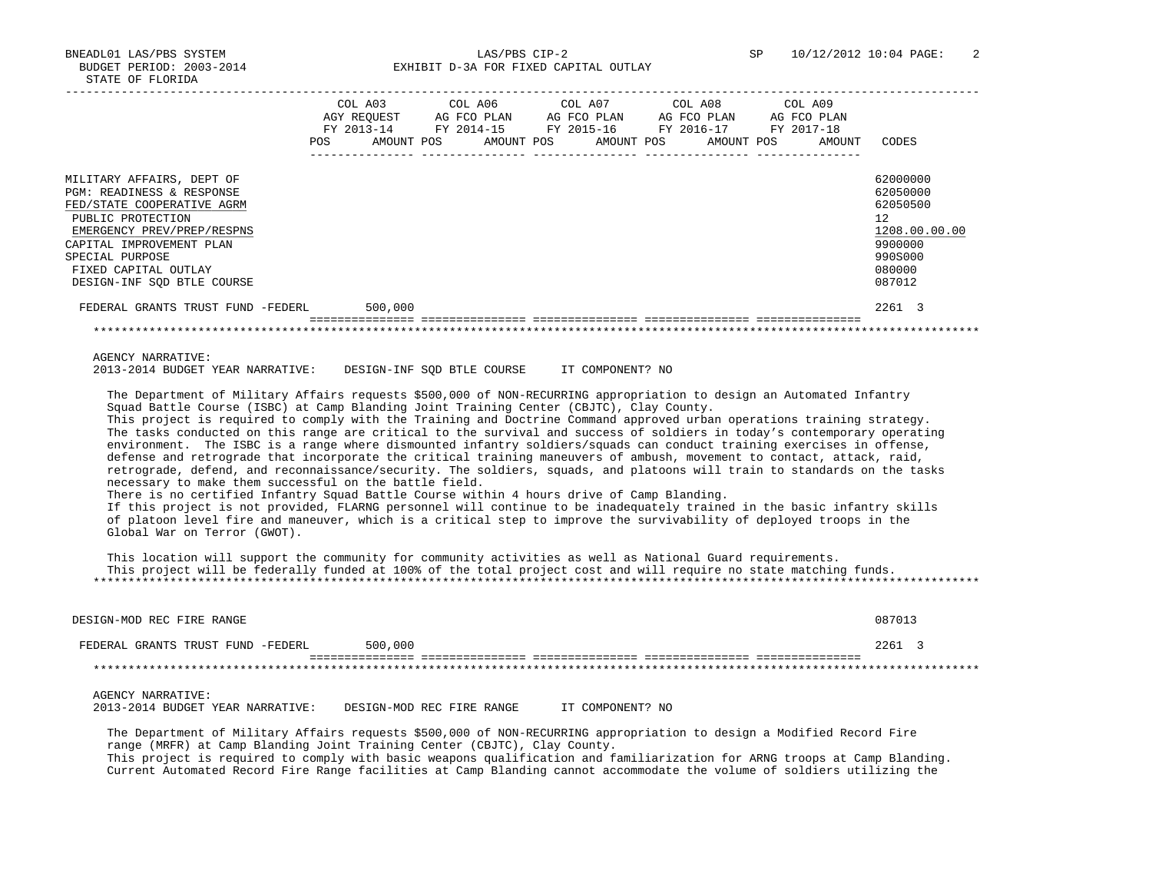BNEADL01 LAS/PBS SYSTEM LAS/PBS CIP-2 SP 10/12/2012 10:04 PAGE: 2 BUDGET PERIOD: 2003-2014 **EXHIBIT D-3A FOR FIXED CAPITAL OUTLAY** 

|                                                                                                                                                                                                                                                                                                                                                                                                                                                                                                                                                                                                                                                                                                                                                                                                                                                                                                                                                                                                                                                                                                                                                                                                                                                                                              | COL A03<br>AGY REQUEST AG FCO PLAN |                                                                      | COL A06    |  | COL A07<br>AG FCO PLAN |  | COL A08<br>AG FCO PLAN | COL A09 | AG FCO PLAN |                                                                                                             |
|----------------------------------------------------------------------------------------------------------------------------------------------------------------------------------------------------------------------------------------------------------------------------------------------------------------------------------------------------------------------------------------------------------------------------------------------------------------------------------------------------------------------------------------------------------------------------------------------------------------------------------------------------------------------------------------------------------------------------------------------------------------------------------------------------------------------------------------------------------------------------------------------------------------------------------------------------------------------------------------------------------------------------------------------------------------------------------------------------------------------------------------------------------------------------------------------------------------------------------------------------------------------------------------------|------------------------------------|----------------------------------------------------------------------|------------|--|------------------------|--|------------------------|---------|-------------|-------------------------------------------------------------------------------------------------------------|
|                                                                                                                                                                                                                                                                                                                                                                                                                                                                                                                                                                                                                                                                                                                                                                                                                                                                                                                                                                                                                                                                                                                                                                                                                                                                                              | POS                                | FY 2013-14 FY 2014-15 FY 2015-16 FY 2016-17 FY 2017-18<br>AMOUNT POS | AMOUNT POS |  | AMOUNT POS             |  | AMOUNT POS             |         | AMOUNT      | CODES                                                                                                       |
| MILITARY AFFAIRS, DEPT OF<br>PGM: READINESS & RESPONSE<br>FED/STATE COOPERATIVE AGRM<br>PUBLIC PROTECTION<br>EMERGENCY PREV/PREP/RESPNS<br>CAPITAL IMPROVEMENT PLAN<br>SPECIAL PURPOSE<br>FIXED CAPITAL OUTLAY<br>DESIGN-INF SQD BTLE COURSE<br>FEDERAL GRANTS TRUST FUND -FEDERL                                                                                                                                                                                                                                                                                                                                                                                                                                                                                                                                                                                                                                                                                                                                                                                                                                                                                                                                                                                                            |                                    | 500,000                                                              |            |  |                        |  |                        |         |             | 62000000<br>62050000<br>62050500<br>12<br>1208.00.00.00<br>9900000<br>990S000<br>080000<br>087012<br>2261 3 |
|                                                                                                                                                                                                                                                                                                                                                                                                                                                                                                                                                                                                                                                                                                                                                                                                                                                                                                                                                                                                                                                                                                                                                                                                                                                                                              |                                    |                                                                      |            |  |                        |  |                        |         |             |                                                                                                             |
| **********************************<br><b>AGENCY NARRATIVE:</b><br>2013-2014 BUDGET YEAR NARRATIVE: DESIGN-INF SOD BTLE COURSE IT COMPONENT? NO                                                                                                                                                                                                                                                                                                                                                                                                                                                                                                                                                                                                                                                                                                                                                                                                                                                                                                                                                                                                                                                                                                                                               |                                    |                                                                      |            |  |                        |  |                        |         |             |                                                                                                             |
| The Department of Military Affairs requests \$500,000 of NON-RECURRING appropriation to design an Automated Infantry<br>Squad Battle Course (ISBC) at Camp Blanding Joint Training Center (CBJTC), Clay County.<br>This project is required to comply with the Training and Doctrine Command approved urban operations training strategy.<br>The tasks conducted on this range are critical to the survival and success of soldiers in today's contemporary operating<br>environment. The ISBC is a range where dismounted infantry soldiers/squads can conduct training exercises in offense,<br>defense and retrograde that incorporate the critical training maneuvers of ambush, movement to contact, attack, raid,<br>retrograde, defend, and reconnaissance/security. The soldiers, squads, and platoons will train to standards on the tasks<br>necessary to make them successful on the battle field.<br>There is no certified Infantry Squad Battle Course within 4 hours drive of Camp Blanding.<br>If this project is not provided, FLARNG personnel will continue to be inadequately trained in the basic infantry skills<br>of platoon level fire and maneuver, which is a critical step to improve the survivability of deployed troops in the<br>Global War on Terror (GWOT). |                                    |                                                                      |            |  |                        |  |                        |         |             |                                                                                                             |
| This location will support the community for community activities as well as National Guard requirements.<br>This project will be federally funded at 100% of the total project cost and will require no state matching funds.                                                                                                                                                                                                                                                                                                                                                                                                                                                                                                                                                                                                                                                                                                                                                                                                                                                                                                                                                                                                                                                               |                                    |                                                                      |            |  |                        |  |                        |         |             |                                                                                                             |
| DESIGN-MOD REC FIRE RANGE                                                                                                                                                                                                                                                                                                                                                                                                                                                                                                                                                                                                                                                                                                                                                                                                                                                                                                                                                                                                                                                                                                                                                                                                                                                                    |                                    |                                                                      |            |  |                        |  |                        |         |             | 087013                                                                                                      |

2013-2014 BUDGET YEAR NARRATIVE: DESIGN-MOD REC FIRE RANGE IT COMPONENT? NO

 The Department of Military Affairs requests \$500,000 of NON-RECURRING appropriation to design a Modified Record Fire range (MRFR) at Camp Blanding Joint Training Center (CBJTC), Clay County. This project is required to comply with basic weapons qualification and familiarization for ARNG troops at Camp Blanding.

Current Automated Record Fire Range facilities at Camp Blanding cannot accommodate the volume of soldiers utilizing the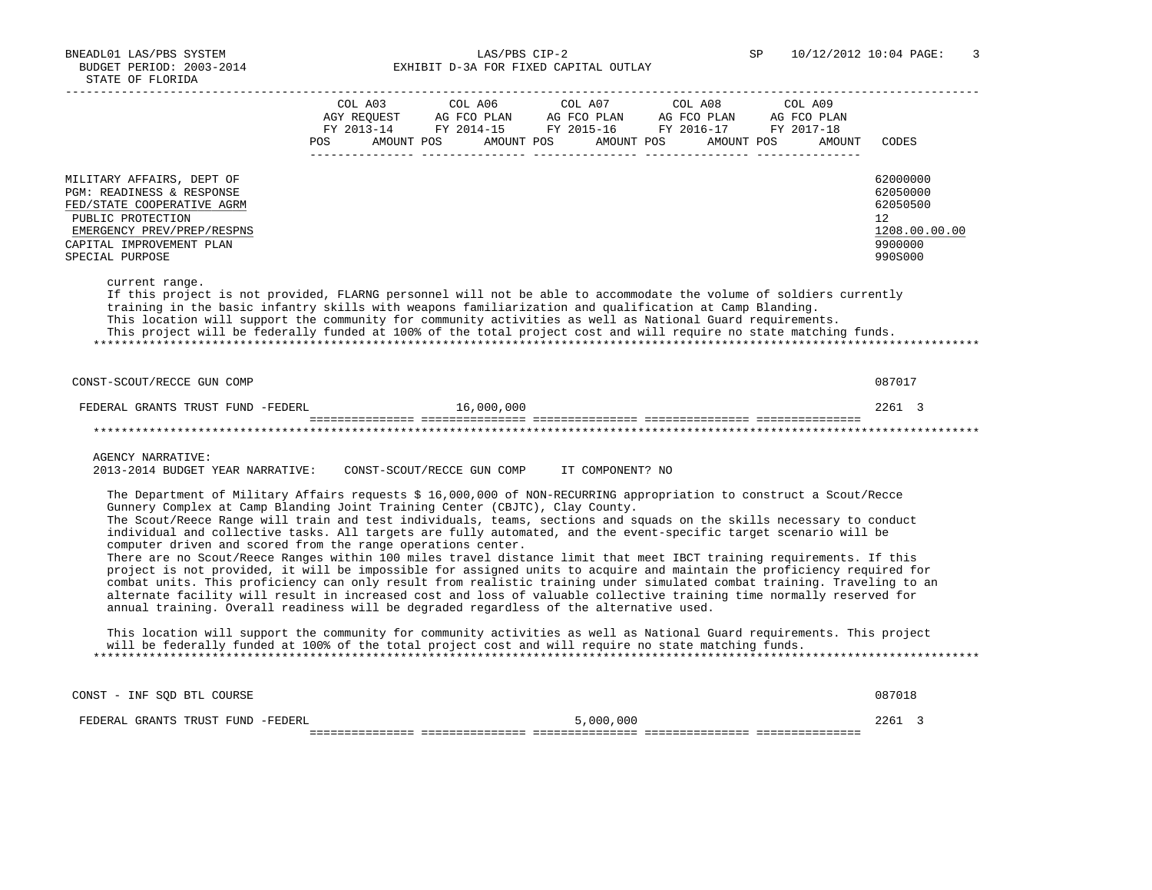BUDGET PERIOD: 2003-2014 **EXHIBIT D-3A FOR FIXED CAPITAL OUTLAY** 

|                                                                                                                                                                                                                                                                                                                                                                                                                                                                                                                                                                                              | COL A03     | COL A06                    | COL A07                                                              | COL A08                  | COL A09     |                                                                               |
|----------------------------------------------------------------------------------------------------------------------------------------------------------------------------------------------------------------------------------------------------------------------------------------------------------------------------------------------------------------------------------------------------------------------------------------------------------------------------------------------------------------------------------------------------------------------------------------------|-------------|----------------------------|----------------------------------------------------------------------|--------------------------|-------------|-------------------------------------------------------------------------------|
|                                                                                                                                                                                                                                                                                                                                                                                                                                                                                                                                                                                              | AGY REQUEST | AG FCO PLAN AG FCO PLAN    |                                                                      | AG FCO PLAN              | AG FCO PLAN |                                                                               |
|                                                                                                                                                                                                                                                                                                                                                                                                                                                                                                                                                                                              | POS         | AMOUNT POS                 | FY 2013-14 FY 2014-15 FY 2015-16 FY 2016-17 FY 2017-18<br>AMOUNT POS | AMOUNT POS<br>AMOUNT POS | AMOUNT      | CODES                                                                         |
|                                                                                                                                                                                                                                                                                                                                                                                                                                                                                                                                                                                              |             |                            |                                                                      |                          |             |                                                                               |
| MILITARY AFFAIRS, DEPT OF<br>PGM: READINESS & RESPONSE<br>FED/STATE COOPERATIVE AGRM<br>PUBLIC PROTECTION<br>EMERGENCY PREV/PREP/RESPNS<br>CAPITAL IMPROVEMENT PLAN<br>SPECIAL PURPOSE                                                                                                                                                                                                                                                                                                                                                                                                       |             |                            |                                                                      |                          |             | 62000000<br>62050000<br>62050500<br>12<br>1208.00.00.00<br>9900000<br>990S000 |
| current range.<br>If this project is not provided, FLARNG personnel will not be able to accommodate the volume of soldiers currently<br>training in the basic infantry skills with weapons familiarization and qualification at Camp Blanding.<br>This location will support the community for community activities as well as National Guard requirements.<br>This project will be federally funded at 100% of the total project cost and will require no state matching funds.                                                                                                             |             |                            |                                                                      |                          |             |                                                                               |
| CONST-SCOUT/RECCE GUN COMP                                                                                                                                                                                                                                                                                                                                                                                                                                                                                                                                                                   |             |                            |                                                                      |                          |             | 087017                                                                        |
| FEDERAL GRANTS TRUST FUND -FEDERL                                                                                                                                                                                                                                                                                                                                                                                                                                                                                                                                                            |             | 16,000,000                 |                                                                      |                          |             | 2261 3                                                                        |
|                                                                                                                                                                                                                                                                                                                                                                                                                                                                                                                                                                                              |             |                            |                                                                      |                          |             |                                                                               |
| <b>AGENCY NARRATIVE:</b><br>2013-2014 BUDGET YEAR NARRATIVE:                                                                                                                                                                                                                                                                                                                                                                                                                                                                                                                                 |             | CONST-SCOUT/RECCE GUN COMP | IT COMPONENT? NO                                                     |                          |             |                                                                               |
| The Department of Military Affairs requests \$ 16,000,000 of NON-RECURRING appropriation to construct a Scout/Recce<br>Gunnery Complex at Camp Blanding Joint Training Center (CBJTC), Clay County.                                                                                                                                                                                                                                                                                                                                                                                          |             |                            |                                                                      |                          |             |                                                                               |
| The Scout/Reece Range will train and test individuals, teams, sections and squads on the skills necessary to conduct<br>individual and collective tasks. All targets are fully automated, and the event-specific target scenario will be<br>computer driven and scored from the range operations center.                                                                                                                                                                                                                                                                                     |             |                            |                                                                      |                          |             |                                                                               |
| There are no Scout/Reece Ranges within 100 miles travel distance limit that meet IBCT training requirements. If this<br>project is not provided, it will be impossible for assigned units to acquire and maintain the proficiency required for<br>combat units. This proficiency can only result from realistic training under simulated combat training. Traveling to an<br>alternate facility will result in increased cost and loss of valuable collective training time normally reserved for<br>annual training. Overall readiness will be degraded regardless of the alternative used. |             |                            |                                                                      |                          |             |                                                                               |
| This location will support the community for community activities as well as National Guard requirements. This project<br>will be federally funded at 100% of the total project cost and will require no state matching funds.                                                                                                                                                                                                                                                                                                                                                               |             |                            |                                                                      |                          |             |                                                                               |
| CONST - INF SQD BTL COURSE                                                                                                                                                                                                                                                                                                                                                                                                                                                                                                                                                                   |             |                            |                                                                      |                          |             | 087018                                                                        |
| FEDERAL GRANTS TRUST FUND -FEDERL                                                                                                                                                                                                                                                                                                                                                                                                                                                                                                                                                            |             |                            | 5,000,000                                                            |                          |             | 2261 3                                                                        |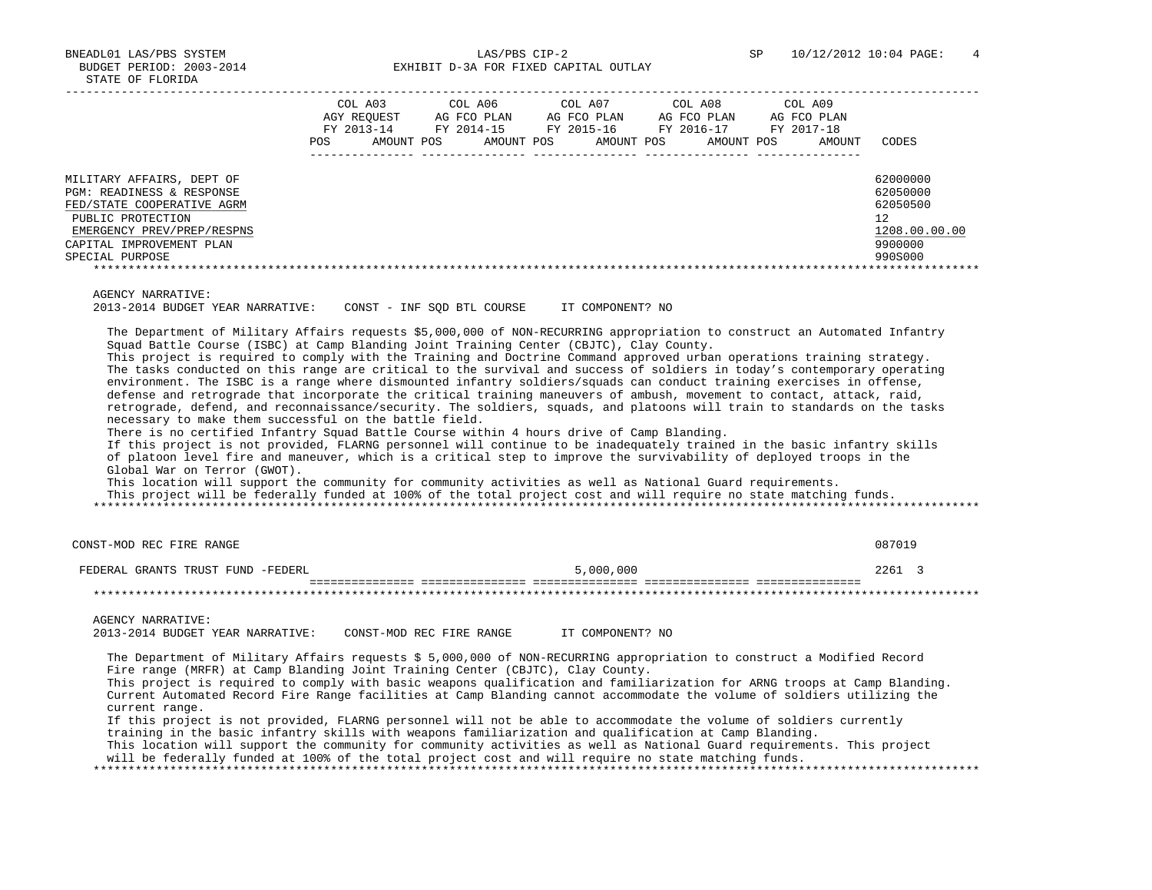BNEADL01 LAS/PBS SYSTEM LAS/PBS CIP-2 SP 10/12/2012 10:04 PAGE: 4 BUDGET PERIOD: 2003-2014 **EXHIBIT D-3A FOR FIXED CAPITAL OUTLAY** 

|                                                                                                                                                                                        | <b>POS</b> | COL A03<br>AGY REOUEST<br>FY 2013-14<br>AMOUNT POS | COL A06<br>AG FCO PLAN<br>FY 2014-15<br>AMOUNT POS | COL A07<br>FY 2015-16 | AG FCO PLAN<br>AMOUNT POS | COL A08<br>AG FCO PLAN<br>FY 2016-17<br>AMOUNT POS | COL A09<br>AG FCO PLAN<br>FY 2017-18<br>AMOUNT | CODES                                                                         |
|----------------------------------------------------------------------------------------------------------------------------------------------------------------------------------------|------------|----------------------------------------------------|----------------------------------------------------|-----------------------|---------------------------|----------------------------------------------------|------------------------------------------------|-------------------------------------------------------------------------------|
| MILITARY AFFAIRS, DEPT OF<br>PGM: READINESS & RESPONSE<br>FED/STATE COOPERATIVE AGRM<br>PUBLIC PROTECTION<br>EMERGENCY PREV/PREP/RESPNS<br>CAPITAL IMPROVEMENT PLAN<br>SPECIAL PURPOSE |            |                                                    |                                                    |                       |                           |                                                    |                                                | 62000000<br>62050000<br>62050500<br>12<br>1208.00.00.00<br>9900000<br>990S000 |

AGENCY NARRATIVE:

2013-2014 BUDGET YEAR NARRATIVE: CONST - INF SQD BTL COURSE IT COMPONENT? NO

 The Department of Military Affairs requests \$5,000,000 of NON-RECURRING appropriation to construct an Automated Infantry Squad Battle Course (ISBC) at Camp Blanding Joint Training Center (CBJTC), Clay County.

 This project is required to comply with the Training and Doctrine Command approved urban operations training strategy. The tasks conducted on this range are critical to the survival and success of soldiers in today's contemporary operating environment. The ISBC is a range where dismounted infantry soldiers/squads can conduct training exercises in offense, defense and retrograde that incorporate the critical training maneuvers of ambush, movement to contact, attack, raid, retrograde, defend, and reconnaissance/security. The soldiers, squads, and platoons will train to standards on the tasks necessary to make them successful on the battle field.

There is no certified Infantry Squad Battle Course within 4 hours drive of Camp Blanding.

 If this project is not provided, FLARNG personnel will continue to be inadequately trained in the basic infantry skills of platoon level fire and maneuver, which is a critical step to improve the survivability of deployed troops in the Global War on Terror (GWOT).

 This location will support the community for community activities as well as National Guard requirements. This project will be federally funded at 100% of the total project cost and will require no state matching funds. \*\*\*\*\*\*\*\*\*\*\*\*\*\*\*\*\*\*\*\*\*\*\*\*\*\*\*\*\*\*\*\*\*\*\*\*\*\*\*\*\*\*\*\*\*\*\*\*\*\*\*\*\*\*\*\*\*\*\*\*\*\*\*\*\*\*\*\*\*\*\*\*\*\*\*\*\*\*\*\*\*\*\*\*\*\*\*\*\*\*\*\*\*\*\*\*\*\*\*\*\*\*\*\*\*\*\*\*\*\*\*\*\*\*\*\*\*\*\*\*\*\*\*\*\*\*\*

CONST-MOD REC FIRE RANGE 687019 FEDERAL GRANTS TRUST FUND -FEDERL 5,000,000 2261 3 =============== =============== =============== =============== =============== \*\*\*\*\*\*\*\*\*\*\*\*\*\*\*\*\*\*\*\*\*\*\*\*\*\*\*\*\*\*\*\*\*\*\*\*\*\*\*\*\*\*\*\*\*\*\*\*\*\*\*\*\*\*\*\*\*\*\*\*\*\*\*\*\*\*\*\*\*\*\*\*\*\*\*\*\*\*\*\*\*\*\*\*\*\*\*\*\*\*\*\*\*\*\*\*\*\*\*\*\*\*\*\*\*\*\*\*\*\*\*\*\*\*\*\*\*\*\*\*\*\*\*\*\*\*\* AGENCY NARRATIVE: 2013-2014 BUDGET YEAR NARRATIVE: CONST-MOD REC FIRE RANGE IT COMPONENT? NO The Department of Military Affairs requests \$ 5,000,000 of NON-RECURRING appropriation to construct a Modified Record Fire range (MRFR) at Camp Blanding Joint Training Center (CBJTC), Clay County. This project is required to comply with basic weapons qualification and familiarization for ARNG troops at Camp Blanding. Current Automated Record Fire Range facilities at Camp Blanding cannot accommodate the volume of soldiers utilizing the current range. If this project is not provided, FLARNG personnel will not be able to accommodate the volume of soldiers currently training in the basic infantry skills with weapons familiarization and qualification at Camp Blanding.

 This location will support the community for community activities as well as National Guard requirements. This project will be federally funded at 100% of the total project cost and will require no state matching funds.

\*\*\*\*\*\*\*\*\*\*\*\*\*\*\*\*\*\*\*\*\*\*\*\*\*\*\*\*\*\*\*\*\*\*\*\*\*\*\*\*\*\*\*\*\*\*\*\*\*\*\*\*\*\*\*\*\*\*\*\*\*\*\*\*\*\*\*\*\*\*\*\*\*\*\*\*\*\*\*\*\*\*\*\*\*\*\*\*\*\*\*\*\*\*\*\*\*\*\*\*\*\*\*\*\*\*\*\*\*\*\*\*\*\*\*\*\*\*\*\*\*\*\*\*\*\*\*